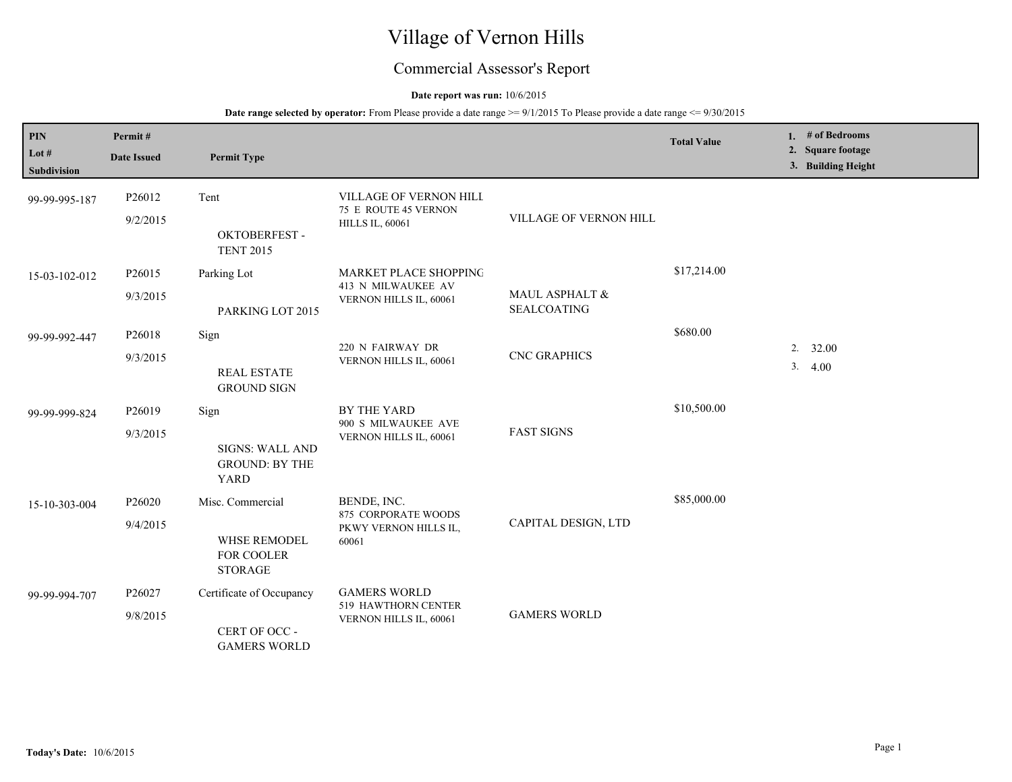# Village of Vernon Hills

## Commercial Assessor's Report

## **Date report was run:** 10/6/2015

| PIN<br>Lot $#$<br>Subdivision | Permit#<br><b>Date Issued</b> | <b>Permit Type</b>                                                      |                                                                          |                                      | <b>Total Value</b> |          | 1. $#$ of Bedrooms<br>2. Square footage<br>3. Building Height |
|-------------------------------|-------------------------------|-------------------------------------------------------------------------|--------------------------------------------------------------------------|--------------------------------------|--------------------|----------|---------------------------------------------------------------|
| 99-99-995-187                 | P26012<br>9/2/2015            | Tent<br>OKTOBERFEST-<br><b>TENT 2015</b>                                | VILLAGE OF VERNON HILL<br>75 E ROUTE 45 VERNON<br><b>HILLS IL, 60061</b> | VILLAGE OF VERNON HILL               |                    |          |                                                               |
| 15-03-102-012                 | P26015<br>9/3/2015            | Parking Lot<br>PARKING LOT 2015                                         | MARKET PLACE SHOPPING<br>413 N MILWAUKEE AV<br>VERNON HILLS IL, 60061    | MAUL ASPHALT &<br><b>SEALCOATING</b> | \$17,214.00        |          |                                                               |
| 99-99-992-447                 | P26018<br>9/3/2015            | Sign<br><b>REAL ESTATE</b><br><b>GROUND SIGN</b>                        | 220 N FAIRWAY DR<br>VERNON HILLS IL, 60061                               | <b>CNC GRAPHICS</b>                  | \$680.00           | 2.<br>3. | 32.00<br>4.00                                                 |
| 99-99-999-824                 | P26019<br>9/3/2015            | Sign<br><b>SIGNS: WALL AND</b><br><b>GROUND: BY THE</b><br><b>YARD</b>  | BY THE YARD<br>900 S MILWAUKEE AVE<br>VERNON HILLS IL, 60061             | <b>FAST SIGNS</b>                    | \$10,500.00        |          |                                                               |
| 15-10-303-004                 | P26020<br>9/4/2015            | Misc. Commercial<br><b>WHSE REMODEL</b><br>FOR COOLER<br><b>STORAGE</b> | BENDE, INC.<br>875 CORPORATE WOODS<br>PKWY VERNON HILLS IL,<br>60061     | CAPITAL DESIGN, LTD                  | \$85,000.00        |          |                                                               |
| 99-99-994-707                 | P26027<br>9/8/2015            | Certificate of Occupancy<br>CERT OF OCC -<br><b>GAMERS WORLD</b>        | <b>GAMERS WORLD</b><br>519 HAWTHORN CENTER<br>VERNON HILLS IL, 60061     | <b>GAMERS WORLD</b>                  |                    |          |                                                               |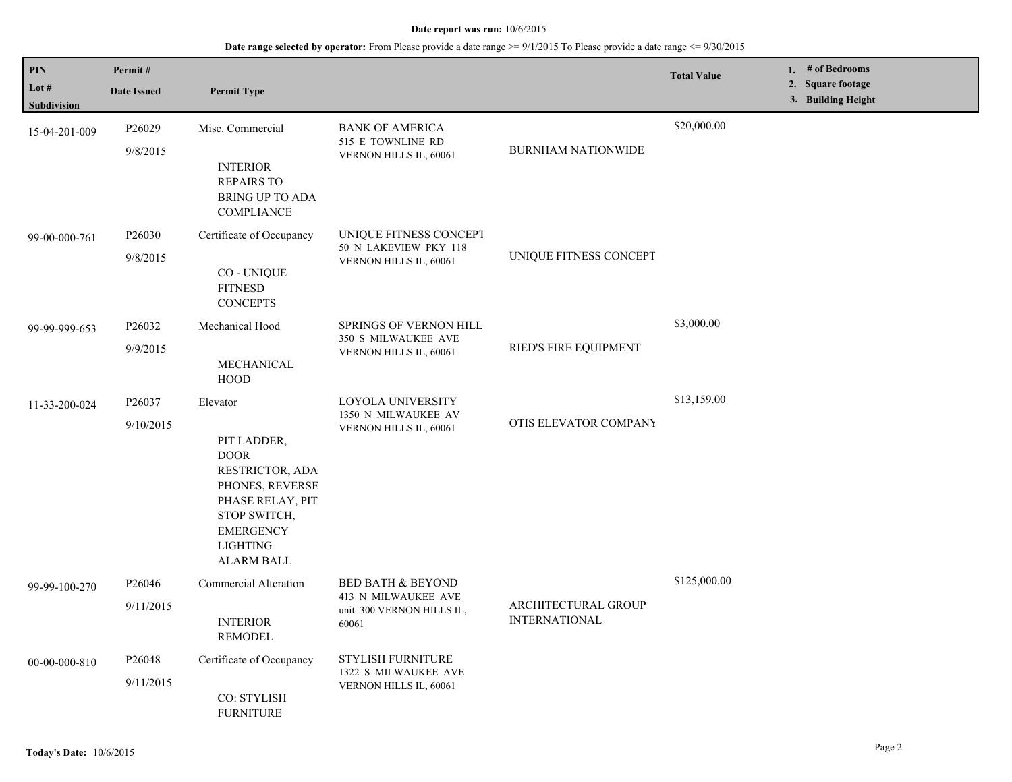| PIN                    | Permit#                         |                                                                                                                                                                              |                                                                                           |                                             | <b>Total Value</b> | 1. # of Bedrooms                        |
|------------------------|---------------------------------|------------------------------------------------------------------------------------------------------------------------------------------------------------------------------|-------------------------------------------------------------------------------------------|---------------------------------------------|--------------------|-----------------------------------------|
| Lot $#$<br>Subdivision | <b>Date Issued</b>              | <b>Permit Type</b>                                                                                                                                                           |                                                                                           |                                             |                    | 2. Square footage<br>3. Building Height |
| 15-04-201-009          | P26029<br>9/8/2015              | Misc. Commercial<br><b>INTERIOR</b><br><b>REPAIRS TO</b><br><b>BRING UP TO ADA</b><br>COMPLIANCE                                                                             | <b>BANK OF AMERICA</b><br>515 E TOWNLINE RD<br>VERNON HILLS IL, 60061                     | <b>BURNHAM NATIONWIDE</b>                   | \$20,000.00        |                                         |
| 99-00-000-761          | P26030<br>9/8/2015              | Certificate of Occupancy<br><b>CO-UNIQUE</b><br><b>FITNESD</b><br><b>CONCEPTS</b>                                                                                            | UNIQUE FITNESS CONCEPT<br>50 N LAKEVIEW PKY 118<br>VERNON HILLS IL, 60061                 | UNIQUE FITNESS CONCEPT                      |                    |                                         |
| 99-99-999-653          | P26032<br>9/9/2015              | Mechanical Hood<br>MECHANICAL<br><b>HOOD</b>                                                                                                                                 | SPRINGS OF VERNON HILL<br>350 S MILWAUKEE AVE<br>VERNON HILLS IL, 60061                   | RIED'S FIRE EQUIPMENT                       | \$3,000.00         |                                         |
| 11-33-200-024          | P26037<br>9/10/2015             | Elevator<br>PIT LADDER,<br><b>DOOR</b><br>RESTRICTOR, ADA<br>PHONES, REVERSE<br>PHASE RELAY, PIT<br>STOP SWITCH,<br><b>EMERGENCY</b><br><b>LIGHTING</b><br><b>ALARM BALL</b> | LOYOLA UNIVERSITY<br>1350 N MILWAUKEE AV<br>VERNON HILLS IL, 60061                        | OTIS ELEVATOR COMPANY                       | \$13,159.00        |                                         |
| 99-99-100-270          | P26046<br>9/11/2015             | <b>Commercial Alteration</b><br><b>INTERIOR</b><br><b>REMODEL</b>                                                                                                            | <b>BED BATH &amp; BEYOND</b><br>413 N MILWAUKEE AVE<br>unit 300 VERNON HILLS IL,<br>60061 | ARCHITECTURAL GROUP<br><b>INTERNATIONAL</b> | \$125,000.00       |                                         |
| 00-00-000-810          | P <sub>26048</sub><br>9/11/2015 | Certificate of Occupancy<br>CO: STYLISH<br><b>FURNITURE</b>                                                                                                                  | <b>STYLISH FURNITURE</b><br>1322 S MILWAUKEE AVE<br>VERNON HILLS IL, 60061                |                                             |                    |                                         |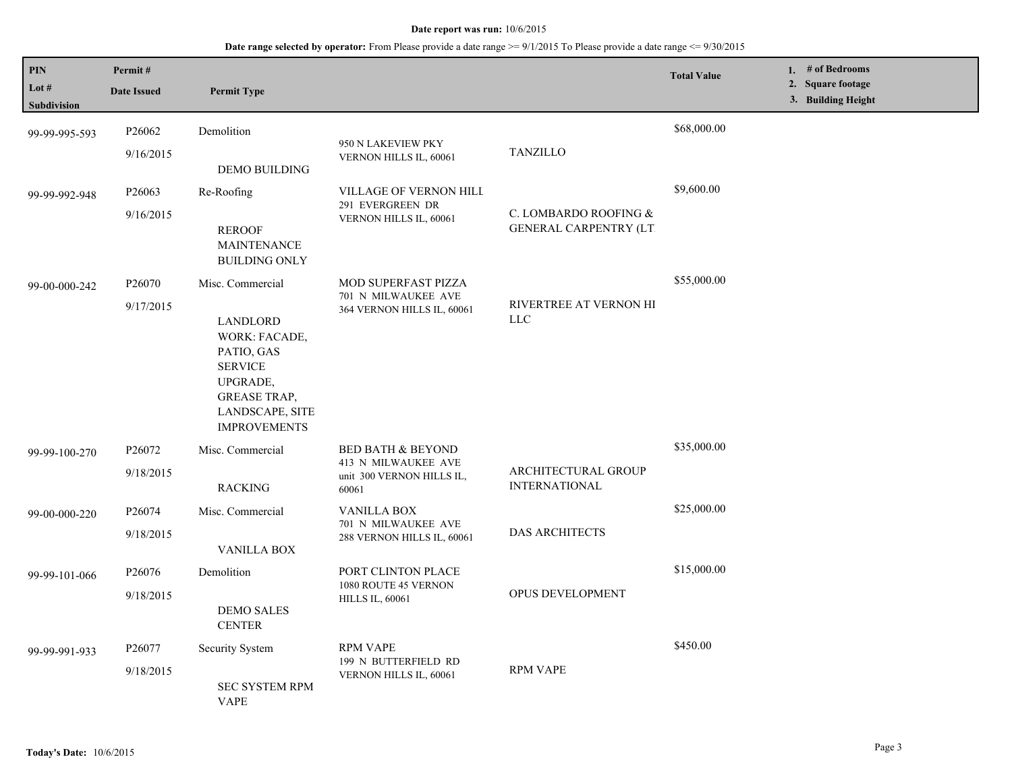| PIN<br>Lot $#$<br><b>Subdivision</b> | Permit#<br><b>Date Issued</b>   | <b>Permit Type</b>                                                                                                                                         |                                                                                           |                                                        | <b>Total Value</b> | 1. # of Bedrooms<br>2. Square footage<br>3. Building Height |
|--------------------------------------|---------------------------------|------------------------------------------------------------------------------------------------------------------------------------------------------------|-------------------------------------------------------------------------------------------|--------------------------------------------------------|--------------------|-------------------------------------------------------------|
| 99-99-995-593                        | P26062<br>9/16/2015             | Demolition<br><b>DEMO BUILDING</b>                                                                                                                         | 950 N LAKEVIEW PKY<br>VERNON HILLS IL, 60061                                              | <b>TANZILLO</b>                                        | \$68,000.00        |                                                             |
| 99-99-992-948                        | P26063<br>9/16/2015             | Re-Roofing<br><b>REROOF</b><br><b>MAINTENANCE</b><br><b>BUILDING ONLY</b>                                                                                  | VILLAGE OF VERNON HILL<br>291 EVERGREEN DR<br>VERNON HILLS IL, 60061                      | C. LOMBARDO ROOFING &<br><b>GENERAL CARPENTRY (LT)</b> | \$9,600.00         |                                                             |
| 99-00-000-242                        | P26070<br>9/17/2015             | Misc. Commercial<br>LANDLORD<br>WORK: FACADE,<br>PATIO, GAS<br><b>SERVICE</b><br>UPGRADE,<br><b>GREASE TRAP,</b><br>LANDSCAPE, SITE<br><b>IMPROVEMENTS</b> | <b>MOD SUPERFAST PIZZA</b><br>701 N MILWAUKEE AVE<br>364 VERNON HILLS IL, 60061           | RIVERTREE AT VERNON HI<br><b>LLC</b>                   | \$55,000.00        |                                                             |
| 99-99-100-270                        | P <sub>26072</sub><br>9/18/2015 | Misc. Commercial<br><b>RACKING</b>                                                                                                                         | <b>BED BATH &amp; BEYOND</b><br>413 N MILWAUKEE AVE<br>unit 300 VERNON HILLS IL,<br>60061 | ARCHITECTURAL GROUP<br><b>INTERNATIONAL</b>            | \$35,000.00        |                                                             |
| 99-00-000-220                        | P26074<br>9/18/2015             | Misc. Commercial<br><b>VANILLA BOX</b>                                                                                                                     | <b>VANILLA BOX</b><br>701 N MILWAUKEE AVE<br>288 VERNON HILLS IL, 60061                   | <b>DAS ARCHITECTS</b>                                  | \$25,000.00        |                                                             |
| 99-99-101-066                        | P26076<br>9/18/2015             | Demolition<br><b>DEMO SALES</b><br><b>CENTER</b>                                                                                                           | PORT CLINTON PLACE<br>1080 ROUTE 45 VERNON<br><b>HILLS IL, 60061</b>                      | <b>OPUS DEVELOPMENT</b>                                | \$15,000.00        |                                                             |
| 99-99-991-933                        | P <sub>26077</sub><br>9/18/2015 | Security System<br><b>SEC SYSTEM RPM</b><br><b>VAPE</b>                                                                                                    | <b>RPM VAPE</b><br>199 N BUTTERFIELD RD<br>VERNON HILLS IL, 60061                         | <b>RPM VAPE</b>                                        | \$450.00           |                                                             |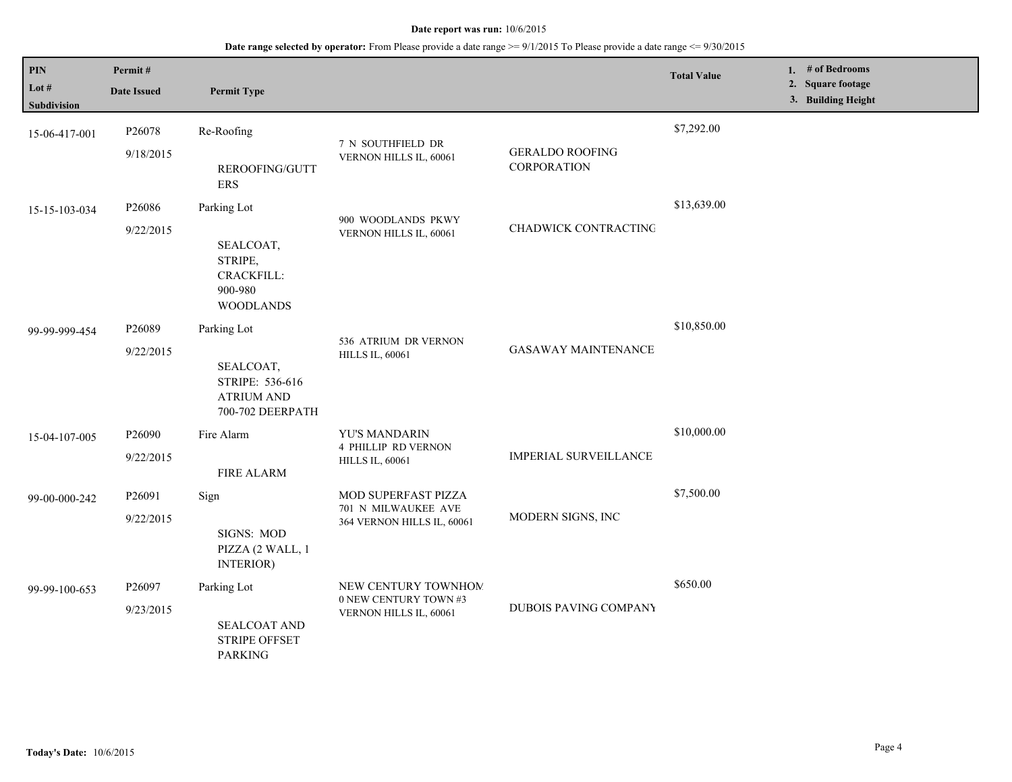| <b>PIN</b><br>Lot #<br>Subdivision | Permit#<br><b>Date Issued</b>   | <b>Permit Type</b>                                                                   |                                                                          |                                              | <b>Total Value</b> | 1. # of Bedrooms<br>2. Square footage<br>3. Building Height |
|------------------------------------|---------------------------------|--------------------------------------------------------------------------------------|--------------------------------------------------------------------------|----------------------------------------------|--------------------|-------------------------------------------------------------|
| 15-06-417-001                      | P26078<br>9/18/2015             | Re-Roofing<br>REROOFING/GUTT<br><b>ERS</b>                                           | 7 N SOUTHFIELD DR<br>VERNON HILLS IL, 60061                              | <b>GERALDO ROOFING</b><br><b>CORPORATION</b> | \$7,292.00         |                                                             |
| 15-15-103-034                      | P <sub>26086</sub><br>9/22/2015 | Parking Lot<br>SEALCOAT,<br>STRIPE,<br>CRACKFILL:<br>900-980<br><b>WOODLANDS</b>     | 900 WOODLANDS PKWY<br>VERNON HILLS IL, 60061                             | CHADWICK CONTRACTING                         | \$13,639.00        |                                                             |
| 99-99-999-454                      | P26089<br>9/22/2015             | Parking Lot<br>SEALCOAT,<br>STRIPE: 536-616<br><b>ATRIUM AND</b><br>700-702 DEERPATH | 536 ATRIUM DR VERNON<br><b>HILLS IL, 60061</b>                           | <b>GASAWAY MAINTENANCE</b>                   | \$10,850.00        |                                                             |
| 15-04-107-005                      | P26090<br>9/22/2015             | Fire Alarm<br><b>FIRE ALARM</b>                                                      | YU'S MANDARIN<br><b>4 PHILLIP RD VERNON</b><br><b>HILLS IL, 60061</b>    | <b>IMPERIAL SURVEILLANCE</b>                 | \$10,000.00        |                                                             |
| 99-00-000-242                      | P26091<br>9/22/2015             | Sign<br>SIGNS: MOD<br>PIZZA (2 WALL, 1<br>INTERIOR)                                  | MOD SUPERFAST PIZZA<br>701 N MILWAUKEE AVE<br>364 VERNON HILLS IL, 60061 | MODERN SIGNS, INC                            | \$7,500.00         |                                                             |
| 99-99-100-653                      | P26097<br>9/23/2015             | Parking Lot<br><b>SEALCOAT AND</b><br><b>STRIPE OFFSET</b><br><b>PARKING</b>         | NEW CENTURY TOWNHOM<br>0 NEW CENTURY TOWN #3<br>VERNON HILLS IL, 60061   | DUBOIS PAVING COMPANY                        | \$650.00           |                                                             |